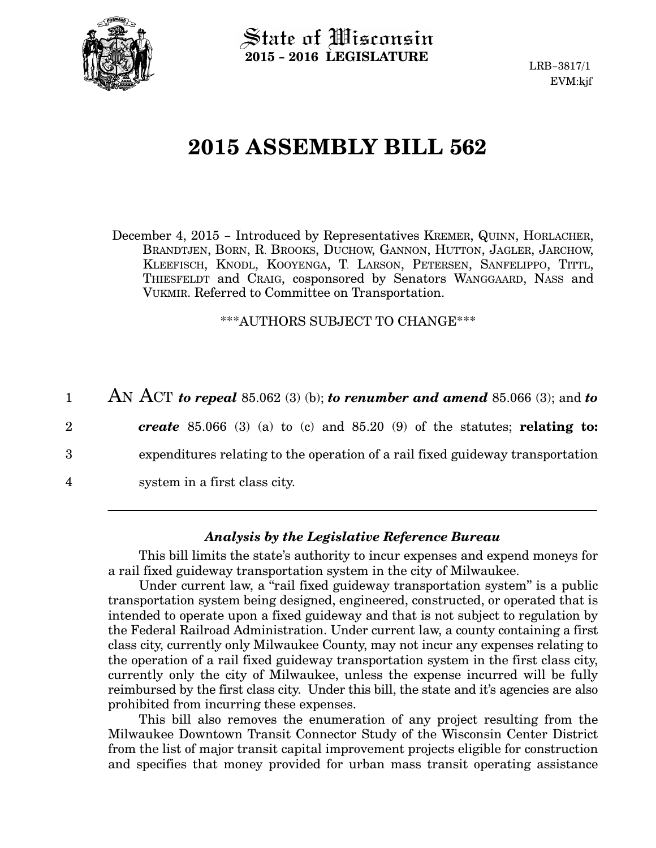

State of Wisconsin 2015 − 2016 LEGISLATURE

LRB−3817/1 EVM:kjf

## 2015 ASSEMBLY BILL 562

December 4, 2015 − Introduced by Representatives KREMER, QUINN, HORLACHER, BRANDTJEN, BORN, R. BROOKS, DUCHOW, GANNON, HUTTON, JAGLER, JARCHOW, KLEEFISCH, KNODL, KOOYENGA, T. LARSON, PETERSEN, SANFELIPPO, TITTL, THIESFELDT and CRAIG, cosponsored by Senators WANGGAARD, NASS and VUKMIR. Referred to Committee on Transportation.

\*\*\*AUTHORS SUBJECT TO CHANGE\*\*\*

AN ACT to repeal 85.062 (3) (b); to renumber and amend 85.066 (3); and to create 85.066 (3) (a) to (c) and 85.20 (9) of the statutes; relating to: expenditures relating to the operation of a rail fixed guideway transportation system in a first class city. 1 2 3 4

## Analysis by the Legislative Reference Bureau

This bill limits the state's authority to incur expenses and expend moneys for a rail fixed guideway transportation system in the city of Milwaukee.

Under current law, a "rail fixed guideway transportation system" is a public transportation system being designed, engineered, constructed, or operated that is intended to operate upon a fixed guideway and that is not subject to regulation by the Federal Railroad Administration. Under current law, a county containing a first class city, currently only Milwaukee County, may not incur any expenses relating to the operation of a rail fixed guideway transportation system in the first class city, currently only the city of Milwaukee, unless the expense incurred will be fully reimbursed by the first class city. Under this bill, the state and it's agencies are also prohibited from incurring these expenses.

This bill also removes the enumeration of any project resulting from the Milwaukee Downtown Transit Connector Study of the Wisconsin Center District from the list of major transit capital improvement projects eligible for construction and specifies that money provided for urban mass transit operating assistance